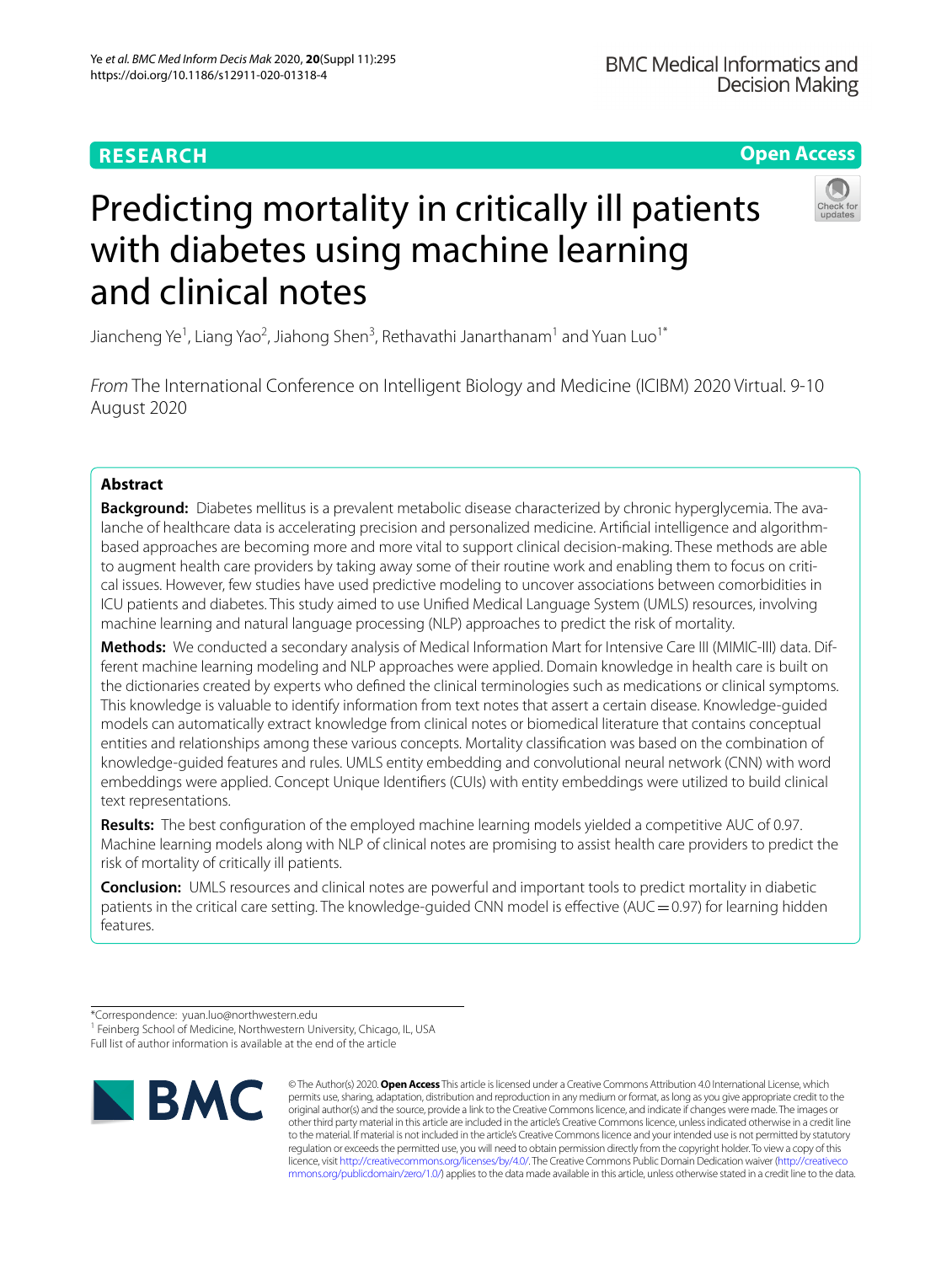# **Open Access**



# Predicting mortality in critically ill patients with diabetes using machine learning and clinical notes

Jiancheng Ye<sup>1</sup>, Liang Yao<sup>2</sup>, Jiahong Shen<sup>3</sup>, Rethavathi Janarthanam<sup>1</sup> and Yuan Luo<sup>1\*</sup>

*From* The International Conference on Intelligent Biology and Medicine (ICIBM) 2020 Virtual. 9-10 August 2020

# **Abstract**

**Background:** Diabetes mellitus is a prevalent metabolic disease characterized by chronic hyperglycemia. The avalanche of healthcare data is accelerating precision and personalized medicine. Artifcial intelligence and algorithmbased approaches are becoming more and more vital to support clinical decision-making. These methods are able to augment health care providers by taking away some of their routine work and enabling them to focus on critical issues. However, few studies have used predictive modeling to uncover associations between comorbidities in ICU patients and diabetes. This study aimed to use Unifed Medical Language System (UMLS) resources, involving machine learning and natural language processing (NLP) approaches to predict the risk of mortality.

**Methods:** We conducted a secondary analysis of Medical Information Mart for Intensive Care III (MIMIC-III) data. Different machine learning modeling and NLP approaches were applied. Domain knowledge in health care is built on the dictionaries created by experts who defned the clinical terminologies such as medications or clinical symptoms. This knowledge is valuable to identify information from text notes that assert a certain disease. Knowledge-guided models can automatically extract knowledge from clinical notes or biomedical literature that contains conceptual entities and relationships among these various concepts. Mortality classifcation was based on the combination of knowledge-guided features and rules. UMLS entity embedding and convolutional neural network (CNN) with word embeddings were applied. Concept Unique Identifers (CUIs) with entity embeddings were utilized to build clinical text representations.

**Results:** The best confguration of the employed machine learning models yielded a competitive AUC of 0.97. Machine learning models along with NLP of clinical notes are promising to assist health care providers to predict the risk of mortality of critically ill patients.

**Conclusion:** UMLS resources and clinical notes are powerful and important tools to predict mortality in diabetic patients in the critical care setting. The knowledge-guided CNN model is effective (AUC=0.97) for learning hidden features.

\*Correspondence: yuan.luo@northwestern.edu

<sup>1</sup> Feinberg School of Medicine, Northwestern University, Chicago, IL, USA

Full list of author information is available at the end of the article



© The Author(s) 2020. **Open Access** This article is licensed under a Creative Commons Attribution 4.0 International License, which permits use, sharing, adaptation, distribution and reproduction in any medium or format, as long as you give appropriate credit to the original author(s) and the source, provide a link to the Creative Commons licence, and indicate if changes were made. The images or other third party material in this article are included in the article's Creative Commons licence, unless indicated otherwise in a credit line to the material. If material is not included in the article's Creative Commons licence and your intended use is not permitted by statutory regulation or exceeds the permitted use, you will need to obtain permission directly from the copyright holder. To view a copy of this licence, visit [http://creativecommons.org/licenses/by/4.0/.](http://creativecommons.org/licenses/by/4.0/) The Creative Commons Public Domain Dedication waiver ([http://creativeco](http://creativecommons.org/publicdomain/zero/1.0/) [mmons.org/publicdomain/zero/1.0/](http://creativecommons.org/publicdomain/zero/1.0/)) applies to the data made available in this article, unless otherwise stated in a credit line to the data.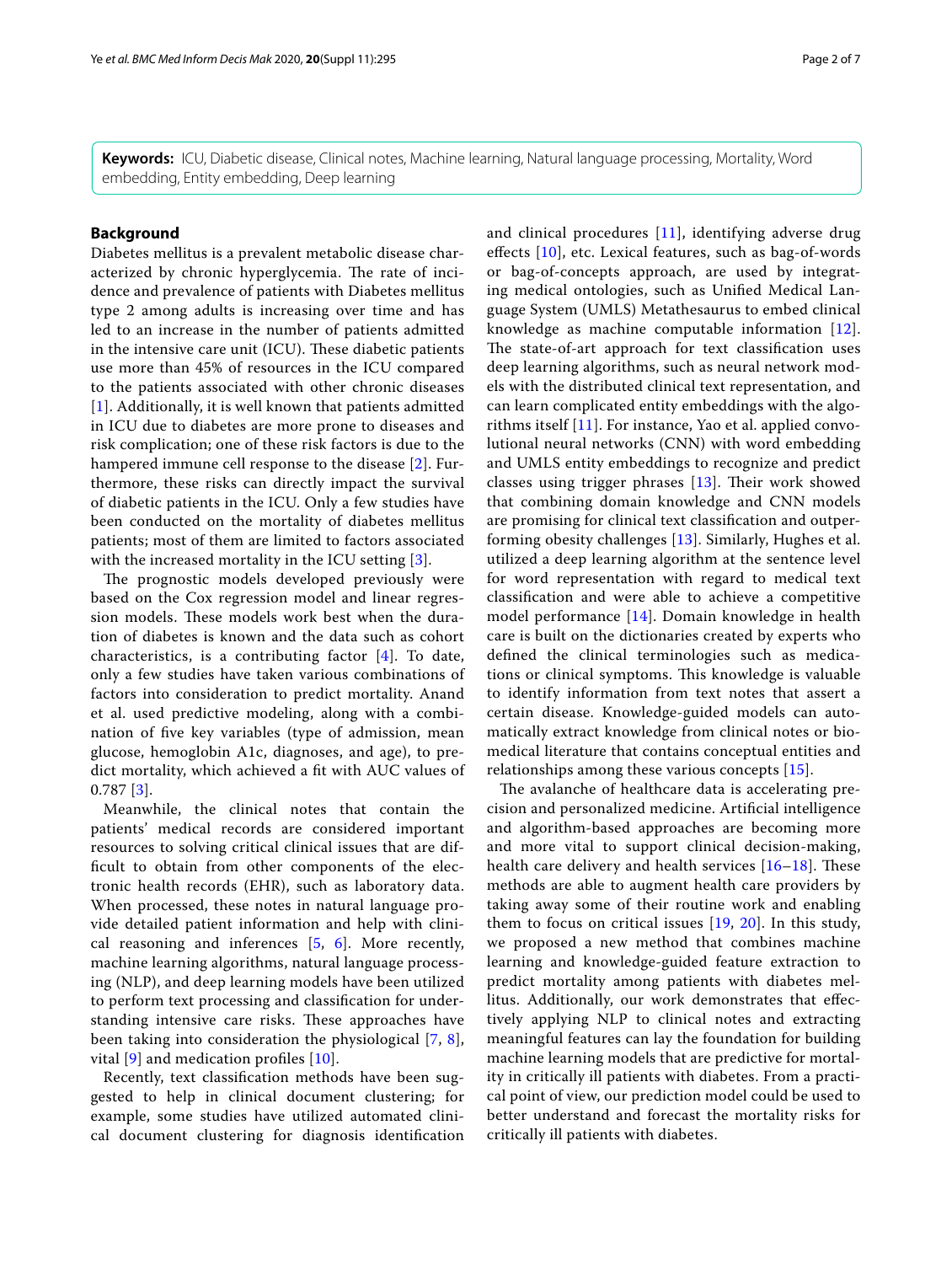**Keywords:** ICU, Diabetic disease, Clinical notes, Machine learning, Natural language processing, Mortality, Word embedding, Entity embedding, Deep learning

# **Background**

Diabetes mellitus is a prevalent metabolic disease characterized by chronic hyperglycemia. The rate of incidence and prevalence of patients with Diabetes mellitus type 2 among adults is increasing over time and has led to an increase in the number of patients admitted in the intensive care unit (ICU). These diabetic patients use more than 45% of resources in the ICU compared to the patients associated with other chronic diseases [[1](#page-5-0)]. Additionally, it is well known that patients admitted in ICU due to diabetes are more prone to diseases and risk complication; one of these risk factors is due to the hampered immune cell response to the disease [[2\]](#page-5-1). Furthermore, these risks can directly impact the survival of diabetic patients in the ICU. Only a few studies have been conducted on the mortality of diabetes mellitus patients; most of them are limited to factors associated with the increased mortality in the ICU setting [[3\]](#page-5-2).

The prognostic models developed previously were based on the Cox regression model and linear regression models. These models work best when the duration of diabetes is known and the data such as cohort characteristics, is a contributing factor [\[4](#page-5-3)]. To date, only a few studies have taken various combinations of factors into consideration to predict mortality. Anand et al. used predictive modeling, along with a combination of fve key variables (type of admission, mean glucose, hemoglobin A1c, diagnoses, and age), to predict mortality, which achieved a ft with AUC values of 0.787 [[3](#page-5-2)].

Meanwhile, the clinical notes that contain the patients' medical records are considered important resources to solving critical clinical issues that are diffcult to obtain from other components of the electronic health records (EHR), such as laboratory data. When processed, these notes in natural language provide detailed patient information and help with clinical reasoning and inferences  $[5, 6]$  $[5, 6]$  $[5, 6]$  $[5, 6]$  $[5, 6]$ . More recently, machine learning algorithms, natural language processing (NLP), and deep learning models have been utilized to perform text processing and classifcation for understanding intensive care risks. These approaches have been taking into consideration the physiological [\[7](#page-5-6), [8\]](#page-5-7), vital  $[9]$  $[9]$  and medication profiles  $[10]$  $[10]$ .

Recently, text classifcation methods have been suggested to help in clinical document clustering; for example, some studies have utilized automated clinical document clustering for diagnosis identifcation and clinical procedures [\[11](#page-5-10)], identifying adverse drug efects [\[10\]](#page-5-9), etc. Lexical features, such as bag-of-words or bag-of-concepts approach, are used by integrating medical ontologies, such as Unifed Medical Language System (UMLS) Metathesaurus to embed clinical knowledge as machine computable information [[12](#page-5-11)]. The state-of-art approach for text classification uses deep learning algorithms, such as neural network models with the distributed clinical text representation, and can learn complicated entity embeddings with the algorithms itself [\[11](#page-5-10)]. For instance, Yao et al. applied convolutional neural networks (CNN) with word embedding and UMLS entity embeddings to recognize and predict classes using trigger phrases  $[13]$  $[13]$ . Their work showed that combining domain knowledge and CNN models are promising for clinical text classifcation and outperforming obesity challenges [\[13\]](#page-5-12). Similarly, Hughes et al. utilized a deep learning algorithm at the sentence level for word representation with regard to medical text classifcation and were able to achieve a competitive model performance [\[14](#page-5-13)]. Domain knowledge in health care is built on the dictionaries created by experts who defned the clinical terminologies such as medications or clinical symptoms. This knowledge is valuable to identify information from text notes that assert a certain disease. Knowledge-guided models can automatically extract knowledge from clinical notes or biomedical literature that contains conceptual entities and relationships among these various concepts [[15\]](#page-5-14).

The avalanche of healthcare data is accelerating precision and personalized medicine. Artifcial intelligence and algorithm-based approaches are becoming more and more vital to support clinical decision-making, health care delivery and health services  $[16–18]$  $[16–18]$  $[16–18]$ . These methods are able to augment health care providers by taking away some of their routine work and enabling them to focus on critical issues [[19](#page-6-2), [20](#page-6-3)]. In this study, we proposed a new method that combines machine learning and knowledge-guided feature extraction to predict mortality among patients with diabetes mellitus. Additionally, our work demonstrates that efectively applying NLP to clinical notes and extracting meaningful features can lay the foundation for building machine learning models that are predictive for mortality in critically ill patients with diabetes. From a practical point of view, our prediction model could be used to better understand and forecast the mortality risks for critically ill patients with diabetes.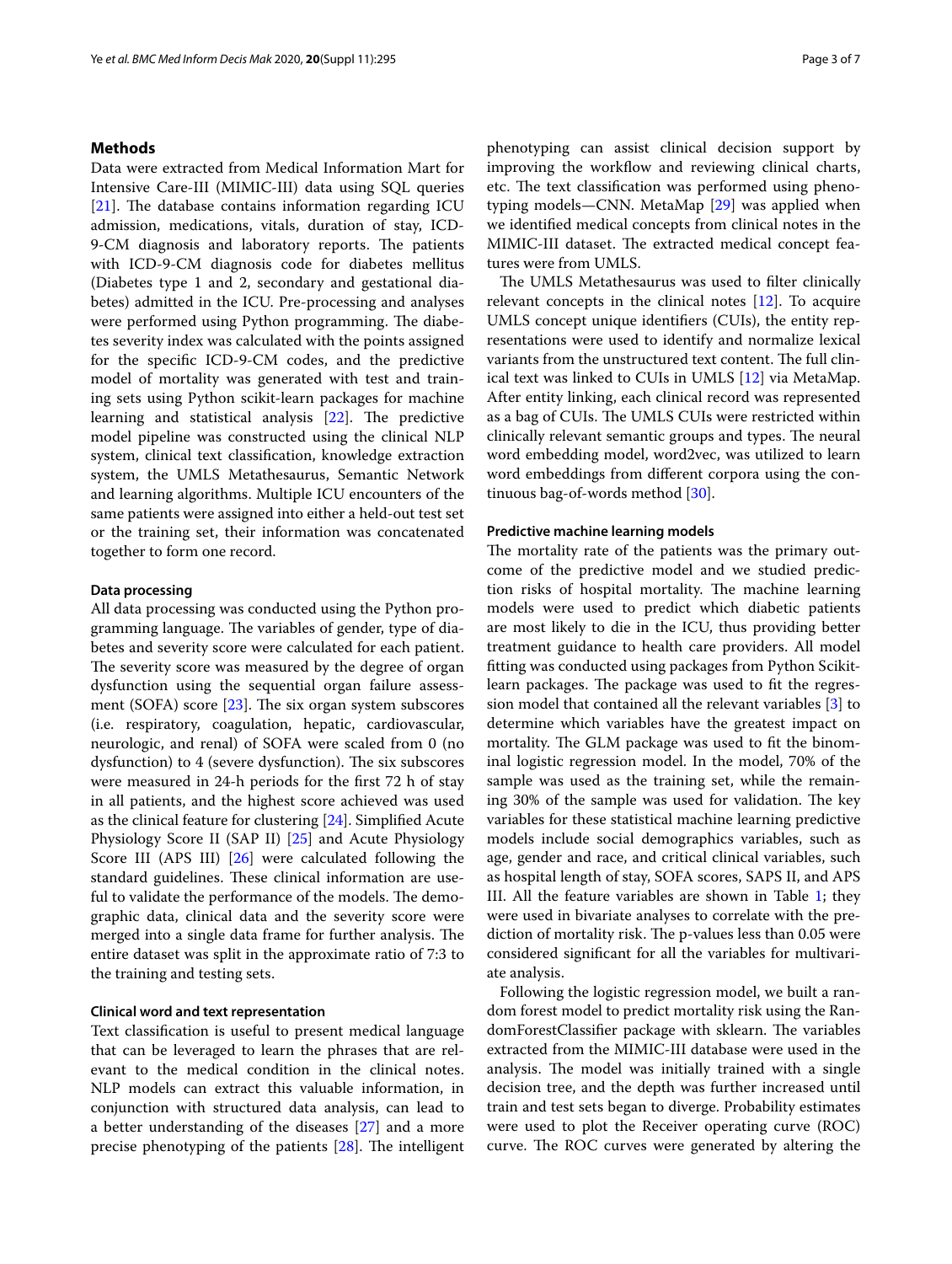# **Methods**

Data were extracted from Medical Information Mart for Intensive Care-III (MIMIC-III) data using SQL queries [[21\]](#page-6-4). The database contains information regarding ICU admission, medications, vitals, duration of stay, ICD-9-CM diagnosis and laboratory reports. The patients with ICD-9-CM diagnosis code for diabetes mellitus (Diabetes type 1 and 2, secondary and gestational diabetes) admitted in the ICU. Pre-processing and analyses were performed using Python programming. The diabetes severity index was calculated with the points assigned for the specifc ICD-9-CM codes, and the predictive model of mortality was generated with test and training sets using Python scikit-learn packages for machine learning and statistical analysis  $[22]$  $[22]$ . The predictive model pipeline was constructed using the clinical NLP system, clinical text classifcation, knowledge extraction system, the UMLS Metathesaurus, Semantic Network and learning algorithms. Multiple ICU encounters of the same patients were assigned into either a held-out test set or the training set, their information was concatenated together to form one record.

# **Data processing**

All data processing was conducted using the Python programming language. The variables of gender, type of diabetes and severity score were calculated for each patient. The severity score was measured by the degree of organ dysfunction using the sequential organ failure assessment (SOFA) score  $[23]$  $[23]$ . The six organ system subscores (i.e. respiratory, coagulation, hepatic, cardiovascular, neurologic, and renal) of SOFA were scaled from 0 (no dysfunction) to 4 (severe dysfunction). The six subscores were measured in 24-h periods for the frst 72 h of stay in all patients, and the highest score achieved was used as the clinical feature for clustering [[24\]](#page-6-7). Simplifed Acute Physiology Score II (SAP II) [[25\]](#page-6-8) and Acute Physiology Score III (APS III) [\[26\]](#page-6-9) were calculated following the standard guidelines. These clinical information are useful to validate the performance of the models. The demographic data, clinical data and the severity score were merged into a single data frame for further analysis. The entire dataset was split in the approximate ratio of 7:3 to the training and testing sets.

# **Clinical word and text representation**

Text classifcation is useful to present medical language that can be leveraged to learn the phrases that are relevant to the medical condition in the clinical notes. NLP models can extract this valuable information, in conjunction with structured data analysis, can lead to a better understanding of the diseases [\[27\]](#page-6-10) and a more precise phenotyping of the patients  $[28]$  $[28]$ . The intelligent phenotyping can assist clinical decision support by improving the workflow and reviewing clinical charts, etc. The text classification was performed using phenotyping models—CNN. MetaMap [\[29](#page-6-12)] was applied when we identifed medical concepts from clinical notes in the MIMIC-III dataset. The extracted medical concept features were from UMLS.

The UMLS Metathesaurus was used to filter clinically relevant concepts in the clinical notes [\[12](#page-5-11)]. To acquire UMLS concept unique identifers (CUIs), the entity representations were used to identify and normalize lexical variants from the unstructured text content. The full clinical text was linked to CUIs in UMLS [[12\]](#page-5-11) via MetaMap. After entity linking, each clinical record was represented as a bag of CUIs. The UMLS CUIs were restricted within clinically relevant semantic groups and types. The neural word embedding model, word2vec, was utilized to learn word embeddings from diferent corpora using the continuous bag-of-words method [\[30](#page-6-13)].

# **Predictive machine learning models**

The mortality rate of the patients was the primary outcome of the predictive model and we studied prediction risks of hospital mortality. The machine learning models were used to predict which diabetic patients are most likely to die in the ICU, thus providing better treatment guidance to health care providers. All model ftting was conducted using packages from Python Scikitlearn packages. The package was used to fit the regression model that contained all the relevant variables [[3](#page-5-2)] to determine which variables have the greatest impact on mortality. The GLM package was used to fit the binominal logistic regression model. In the model, 70% of the sample was used as the training set, while the remaining 30% of the sample was used for validation. The key variables for these statistical machine learning predictive models include social demographics variables, such as age, gender and race, and critical clinical variables, such as hospital length of stay, SOFA scores, SAPS II, and APS III. All the feature variables are shown in Table [1;](#page-3-0) they were used in bivariate analyses to correlate with the prediction of mortality risk. The p-values less than 0.05 were considered signifcant for all the variables for multivariate analysis.

Following the logistic regression model, we built a random forest model to predict mortality risk using the RandomForestClassifier package with sklearn. The variables extracted from the MIMIC-III database were used in the analysis. The model was initially trained with a single decision tree, and the depth was further increased until train and test sets began to diverge. Probability estimates were used to plot the Receiver operating curve (ROC) curve. The ROC curves were generated by altering the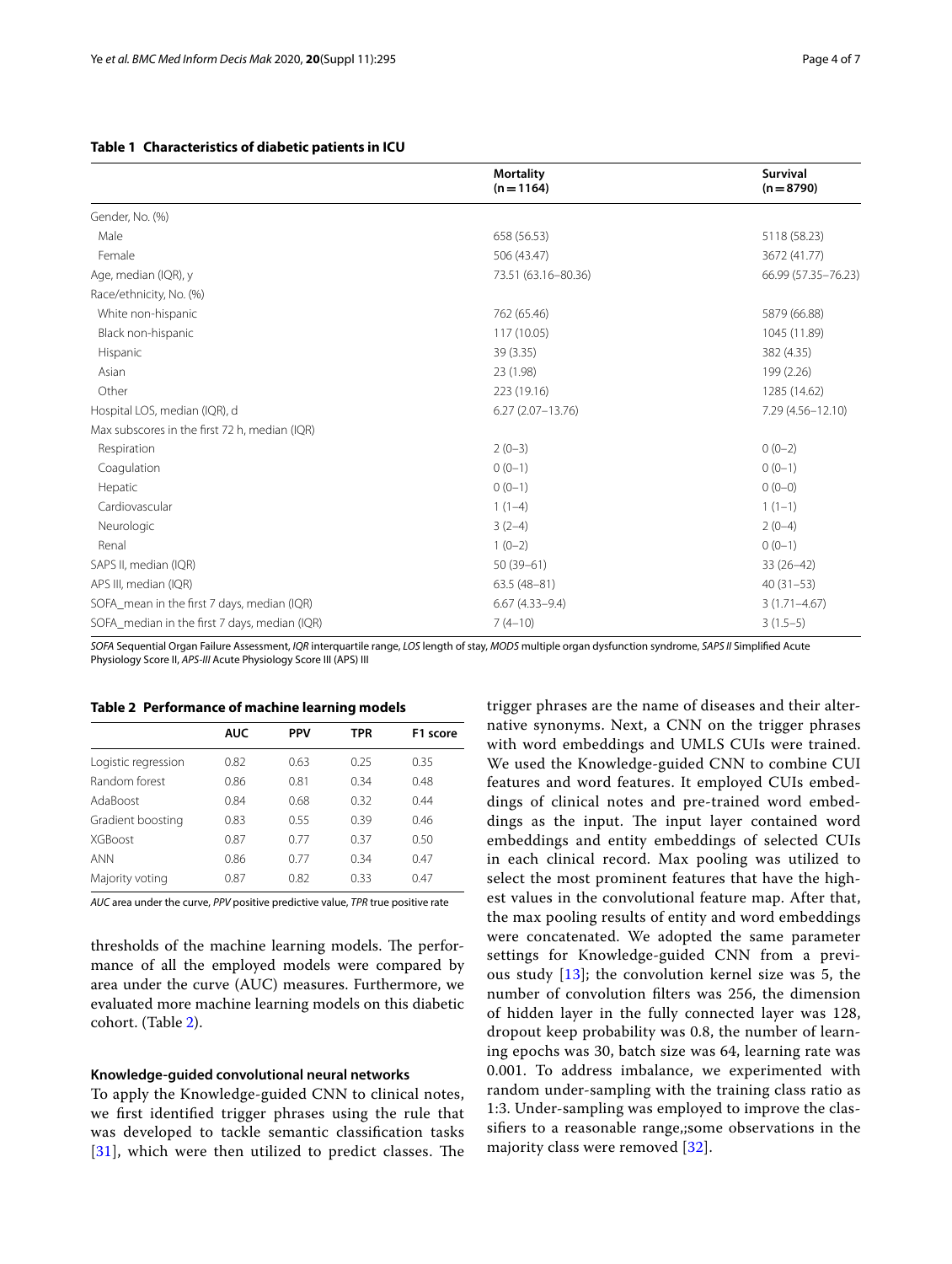|                                               | <b>Mortality</b><br>$(n = 1164)$ | Survival<br>$(n = 8790)$ |
|-----------------------------------------------|----------------------------------|--------------------------|
| Gender, No. (%)                               |                                  |                          |
| Male                                          | 658 (56.53)                      | 5118 (58.23)             |
| Female                                        | 506 (43.47)                      | 3672 (41.77)             |
| Age, median (IQR), y                          | 73.51 (63.16-80.36)              | 66.99 (57.35-76.23)      |
| Race/ethnicity, No. (%)                       |                                  |                          |
| White non-hispanic                            | 762 (65.46)                      | 5879 (66.88)             |
| Black non-hispanic                            | 117 (10.05)                      | 1045 (11.89)             |
| Hispanic                                      | 39 (3.35)                        | 382 (4.35)               |
| Asian                                         | 23 (1.98)                        | 199 (2.26)               |
| Other                                         | 223 (19.16)                      | 1285 (14.62)             |
| Hospital LOS, median (IQR), d                 | $6.27(2.07 - 13.76)$             | 7.29 (4.56-12.10)        |
| Max subscores in the first 72 h, median (IQR) |                                  |                          |
| Respiration                                   | $2(0-3)$                         | $0(0-2)$                 |
| Coagulation                                   | $0(0-1)$                         | $0(0-1)$                 |
| Hepatic                                       | $0(0-1)$                         | $0(0-0)$                 |
| Cardiovascular                                | $1(1-4)$                         | $1(1-1)$                 |
| Neurologic                                    | $3(2-4)$                         | $2(0-4)$                 |
| Renal                                         | $1(0-2)$                         | $0(0-1)$                 |
| SAPS II, median (IQR)                         | $50(39-61)$                      | $33(26-42)$              |
| APS III, median (IQR)                         | $63.5(48-81)$                    | $40(31-53)$              |
| SOFA_mean in the first 7 days, median (IQR)   | $6.67(4.33 - 9.4)$               | $3(1.71 - 4.67)$         |
| SOFA_median in the first 7 days, median (IQR) | $7(4-10)$                        | $3(1.5-5)$               |

## <span id="page-3-0"></span>**Table 1 Characteristics of diabetic patients in ICU**

*SOFA* Sequential Organ Failure Assessment, *IQR* interquartile range, *LOS* length of stay, *MODS* multiple organ dysfunction syndrome, *SAPS II* Simplifed Acute Physiology Score II, *APS-III* Acute Physiology Score III (APS) III

#### <span id="page-3-1"></span>**Table 2 Performance of machine learning models**

|                     | <b>AUC</b> | <b>PPV</b> | <b>TPR</b> | F <sub>1</sub> score |
|---------------------|------------|------------|------------|----------------------|
| Logistic regression | 0.82       | 0.63       | 0.25       | 0.35                 |
| Random forest       | 0.86       | 0.81       | 0.34       | 0.48                 |
| AdaBoost            | 0.84       | 0.68       | 0.32       | 0.44                 |
| Gradient boosting   | 0.83       | 0.55       | 0.39       | 0.46                 |
| <b>XGBoost</b>      | 0.87       | 0.77       | 0.37       | 0.50                 |
| <b>ANN</b>          | 0.86       | 0.77       | 0.34       | 0.47                 |
| Majority voting     | 0.87       | 0.82       | 0.33       | 0.47                 |

*AUC* area under the curve, *PPV* positive predictive value, *TPR* true positive rate

thresholds of the machine learning models. The performance of all the employed models were compared by area under the curve (AUC) measures. Furthermore, we evaluated more machine learning models on this diabetic cohort. (Table [2](#page-3-1)).

#### **Knowledge‑guided convolutional neural networks**

To apply the Knowledge-guided CNN to clinical notes, we frst identifed trigger phrases using the rule that was developed to tackle semantic classifcation tasks  $[31]$  $[31]$  $[31]$ , which were then utilized to predict classes. The trigger phrases are the name of diseases and their alternative synonyms. Next, a CNN on the trigger phrases with word embeddings and UMLS CUIs were trained. We used the Knowledge-guided CNN to combine CUI features and word features. It employed CUIs embeddings of clinical notes and pre-trained word embeddings as the input. The input layer contained word embeddings and entity embeddings of selected CUIs in each clinical record. Max pooling was utilized to select the most prominent features that have the highest values in the convolutional feature map. After that, the max pooling results of entity and word embeddings were concatenated. We adopted the same parameter settings for Knowledge-guided CNN from a previous study [\[13](#page-5-12)]; the convolution kernel size was 5, the number of convolution flters was 256, the dimension of hidden layer in the fully connected layer was 128, dropout keep probability was 0.8, the number of learning epochs was 30, batch size was 64, learning rate was 0.001. To address imbalance, we experimented with random under-sampling with the training class ratio as 1:3. Under-sampling was employed to improve the classifers to a reasonable range,;some observations in the majority class were removed [\[32](#page-6-15)].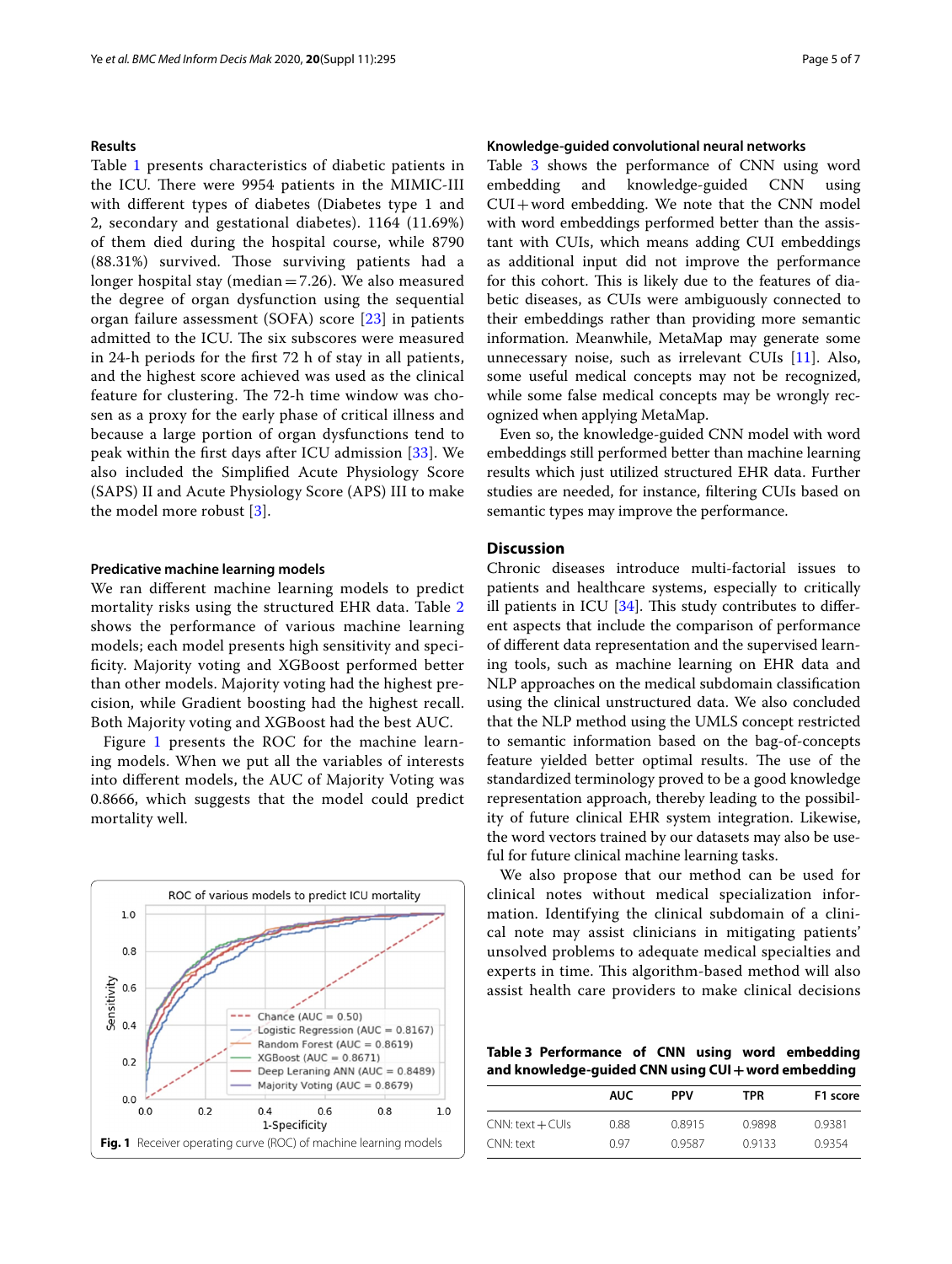# **Results**

Table [1](#page-3-0) presents characteristics of diabetic patients in the ICU. There were 9954 patients in the MIMIC-III with diferent types of diabetes (Diabetes type 1 and 2, secondary and gestational diabetes). 1164 (11.69%) of them died during the hospital course, while 8790 (88.31%) survived. Those surviving patients had a longer hospital stay (median=7.26). We also measured the degree of organ dysfunction using the sequential organ failure assessment (SOFA) score [[23\]](#page-6-6) in patients admitted to the ICU. The six subscores were measured in 24-h periods for the frst 72 h of stay in all patients, and the highest score achieved was used as the clinical feature for clustering. The 72-h time window was chosen as a proxy for the early phase of critical illness and because a large portion of organ dysfunctions tend to peak within the frst days after ICU admission [[33](#page-6-16)]. We also included the Simplifed Acute Physiology Score (SAPS) II and Acute Physiology Score (APS) III to make the model more robust [[3](#page-5-2)].

#### **Predicative machine learning models**

We ran diferent machine learning models to predict mortality risks using the structured EHR data. Table [2](#page-3-1) shows the performance of various machine learning models; each model presents high sensitivity and specifcity. Majority voting and XGBoost performed better than other models. Majority voting had the highest precision, while Gradient boosting had the highest recall. Both Majority voting and XGBoost had the best AUC.

Figure [1](#page-4-0) presents the ROC for the machine learning models. When we put all the variables of interests into diferent models, the AUC of Majority Voting was 0.8666, which suggests that the model could predict mortality well.

<span id="page-4-0"></span>

### **Knowledge‑guided convolutional neural networks**

Table [3](#page-4-1) shows the performance of CNN using word embedding and knowledge-guided CNN using  $CUI+word embedding. We note that the CNN model$ with word embeddings performed better than the assistant with CUIs, which means adding CUI embeddings as additional input did not improve the performance for this cohort. This is likely due to the features of diabetic diseases, as CUIs were ambiguously connected to their embeddings rather than providing more semantic information. Meanwhile, MetaMap may generate some unnecessary noise, such as irrelevant CUIs [[11\]](#page-5-10). Also, some useful medical concepts may not be recognized, while some false medical concepts may be wrongly recognized when applying MetaMap.

Even so, the knowledge-guided CNN model with word embeddings still performed better than machine learning results which just utilized structured EHR data. Further studies are needed, for instance, fltering CUIs based on semantic types may improve the performance.

# **Discussion**

Chronic diseases introduce multi-factorial issues to patients and healthcare systems, especially to critically ill patients in ICU  $[34]$  $[34]$ . This study contributes to different aspects that include the comparison of performance of diferent data representation and the supervised learning tools, such as machine learning on EHR data and NLP approaches on the medical subdomain classifcation using the clinical unstructured data. We also concluded that the NLP method using the UMLS concept restricted to semantic information based on the bag-of-concepts feature yielded better optimal results. The use of the standardized terminology proved to be a good knowledge representation approach, thereby leading to the possibility of future clinical EHR system integration. Likewise, the word vectors trained by our datasets may also be useful for future clinical machine learning tasks.

We also propose that our method can be used for clinical notes without medical specialization information. Identifying the clinical subdomain of a clinical note may assist clinicians in mitigating patients' unsolved problems to adequate medical specialties and experts in time. This algorithm-based method will also assist health care providers to make clinical decisions

<span id="page-4-1"></span>**Table 3 Performance of CNN using word embedding and knowledge-guided CNN using CUI+word embedding**

|                    | AUC  | <b>PPV</b> | TPR    | F1 score |
|--------------------|------|------------|--------|----------|
| $CNN: text + CUIS$ | 0.88 | 0.8915     | 0.9898 | 0.9381   |
| CNN: text          | 0.97 | 09587      | 0.9133 | 0.9354   |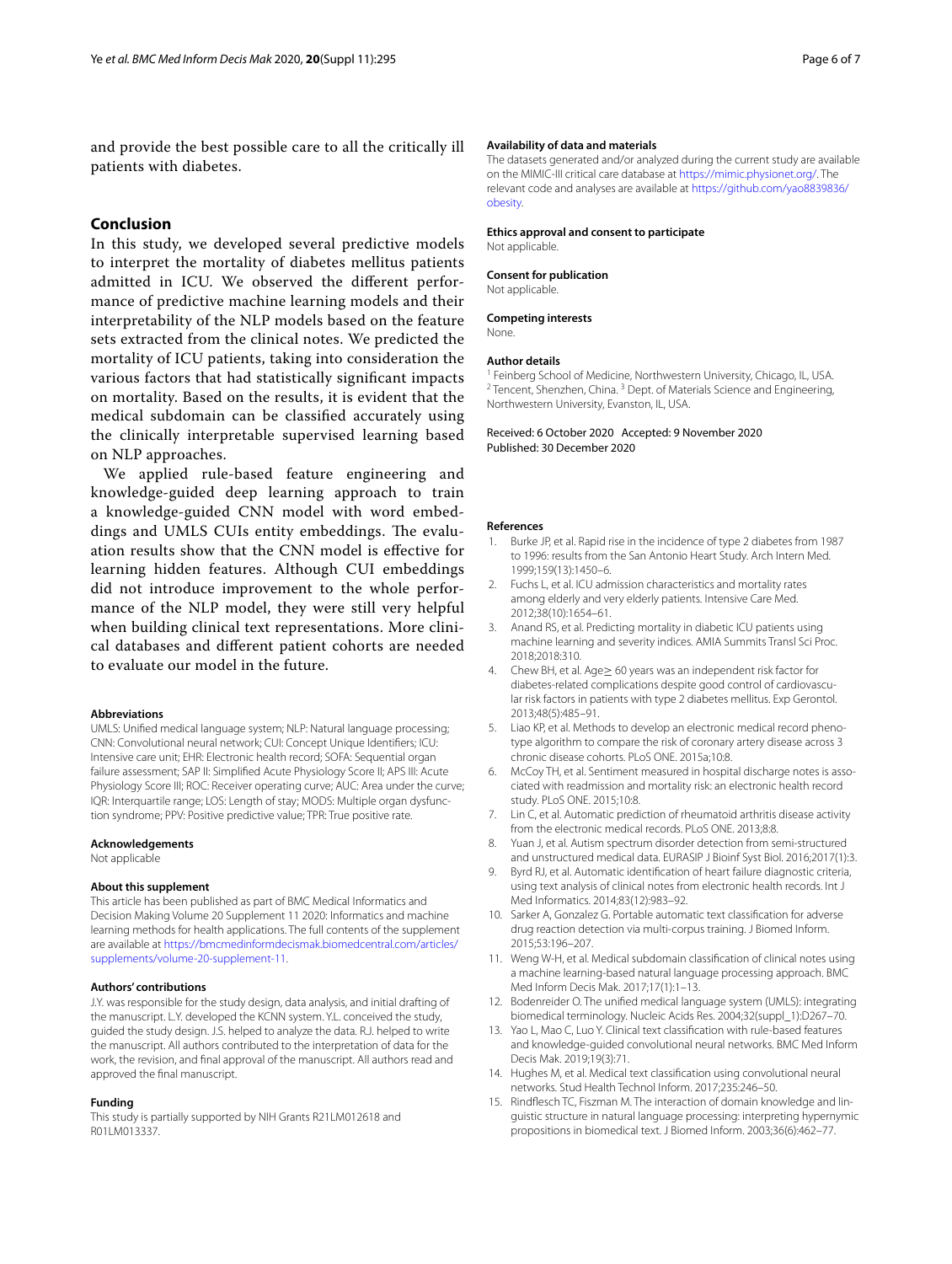and provide the best possible care to all the critically ill patients with diabetes.

# **Conclusion**

In this study, we developed several predictive models to interpret the mortality of diabetes mellitus patients admitted in ICU. We observed the diferent performance of predictive machine learning models and their interpretability of the NLP models based on the feature sets extracted from the clinical notes. We predicted the mortality of ICU patients, taking into consideration the various factors that had statistically signifcant impacts on mortality. Based on the results, it is evident that the medical subdomain can be classifed accurately using the clinically interpretable supervised learning based on NLP approaches.

We applied rule-based feature engineering and knowledge-guided deep learning approach to train a knowledge-guided CNN model with word embeddings and UMLS CUIs entity embeddings. The evaluation results show that the CNN model is efective for learning hidden features. Although CUI embeddings did not introduce improvement to the whole performance of the NLP model, they were still very helpful when building clinical text representations. More clinical databases and diferent patient cohorts are needed to evaluate our model in the future.

#### **Abbreviations**

UMLS: Unifed medical language system; NLP: Natural language processing; CNN: Convolutional neural network; CUI: Concept Unique Identifers; ICU: Intensive care unit; EHR: Electronic health record; SOFA: Sequential organ failure assessment; SAP II: Simplifed Acute Physiology Score II; APS III: Acute Physiology Score III; ROC: Receiver operating curve; AUC: Area under the curve; IQR: Interquartile range; LOS: Length of stay; MODS: Multiple organ dysfunction syndrome; PPV: Positive predictive value; TPR: True positive rate.

#### **Acknowledgements**

Not applicable

#### **About this supplement**

This article has been published as part of BMC Medical Informatics and Decision Making Volume 20 Supplement 11 2020: Informatics and machine learning methods for health applications. The full contents of the supplement are available at [https://bmcmedinformdecismak.biomedcentral.com/articles/](https://bmcmedinformdecismak.biomedcentral.com/articles/supplements/volume-20-supplement-11) [supplements/volume-20-supplement-11](https://bmcmedinformdecismak.biomedcentral.com/articles/supplements/volume-20-supplement-11).

#### **Authors' contributions**

J.Y. was responsible for the study design, data analysis, and initial drafting of the manuscript. L.Y. developed the KCNN system. Y.L. conceived the study, guided the study design. J.S. helped to analyze the data. R.J. helped to write the manuscript. All authors contributed to the interpretation of data for the work, the revision, and fnal approval of the manuscript. All authors read and approved the fnal manuscript.

#### **Funding**

This study is partially supported by NIH Grants R21LM012618 and R01LM013337.

#### **Availability of data and materials**

The datasets generated and/or analyzed during the current study are available on the MIMIC-III critical care database at<https://mimic.physionet.org/>. The relevant code and analyses are available at [https://github.com/yao8839836/](https://github.com/yao8839836/obesity) [obesity](https://github.com/yao8839836/obesity).

#### **Ethics approval and consent to participate**

Not applicable.

#### **Consent for publication**

Not applicable.

#### **Competing interests**

None.

**Author details**<br><sup>1</sup> Feinberg School of Medicine, Northwestern University, Chicago, IL, USA.  $2$  Tencent, Shenzhen, China.  $3$  Dept. of Materials Science and Engineering, Northwestern University, Evanston, IL, USA.

Received: 6 October 2020 Accepted: 9 November 2020 Published: 30 December 2020

#### **References**

- <span id="page-5-0"></span>1. Burke JP, et al. Rapid rise in the incidence of type 2 diabetes from 1987 to 1996: results from the San Antonio Heart Study. Arch Intern Med. 1999;159(13):1450–6.
- <span id="page-5-1"></span>2. Fuchs L, et al. ICU admission characteristics and mortality rates among elderly and very elderly patients. Intensive Care Med. 2012;38(10):1654–61.
- <span id="page-5-2"></span>3. Anand RS, et al. Predicting mortality in diabetic ICU patients using machine learning and severity indices. AMIA Summits Transl Sci Proc. 2018;2018:310.
- <span id="page-5-3"></span>4. Chew BH, et al. Age≥ 60 years was an independent risk factor for diabetes-related complications despite good control of cardiovascular risk factors in patients with type 2 diabetes mellitus. Exp Gerontol. 2013;48(5):485–91.
- <span id="page-5-4"></span>5. Liao KP, et al. Methods to develop an electronic medical record phenotype algorithm to compare the risk of coronary artery disease across 3 chronic disease cohorts. PLoS ONE. 2015a;10:8.
- <span id="page-5-5"></span>6. McCoy TH, et al. Sentiment measured in hospital discharge notes is associated with readmission and mortality risk: an electronic health record study. PLoS ONE. 2015;10:8.
- <span id="page-5-6"></span>7. Lin C, et al. Automatic prediction of rheumatoid arthritis disease activity from the electronic medical records. PLoS ONE. 2013;8:8.
- <span id="page-5-7"></span>8. Yuan J, et al. Autism spectrum disorder detection from semi-structured and unstructured medical data. EURASIP J Bioinf Syst Biol. 2016;2017(1):3.
- <span id="page-5-8"></span>9. Byrd RJ, et al. Automatic identifcation of heart failure diagnostic criteria, using text analysis of clinical notes from electronic health records. Int J Med Informatics. 2014;83(12):983–92.
- <span id="page-5-9"></span>10. Sarker A, Gonzalez G. Portable automatic text classifcation for adverse drug reaction detection via multi-corpus training. J Biomed Inform. 2015;53:196–207.
- <span id="page-5-10"></span>11. Weng W-H, et al. Medical subdomain classifcation of clinical notes using a machine learning-based natural language processing approach. BMC Med Inform Decis Mak. 2017;17(1):1–13.
- <span id="page-5-11"></span>12. Bodenreider O. The unifed medical language system (UMLS): integrating biomedical terminology. Nucleic Acids Res. 2004;32(suppl\_1):D267–70.
- <span id="page-5-12"></span>13. Yao L, Mao C, Luo Y. Clinical text classifcation with rule-based features and knowledge-guided convolutional neural networks. BMC Med Inform Decis Mak. 2019;19(3):71.
- <span id="page-5-13"></span>14. Hughes M, et al. Medical text classifcation using convolutional neural networks. Stud Health Technol Inform. 2017;235:246–50.
- <span id="page-5-14"></span>15. Rindfesch TC, Fiszman M. The interaction of domain knowledge and linguistic structure in natural language processing: interpreting hypernymic propositions in biomedical text. J Biomed Inform. 2003;36(6):462–77.